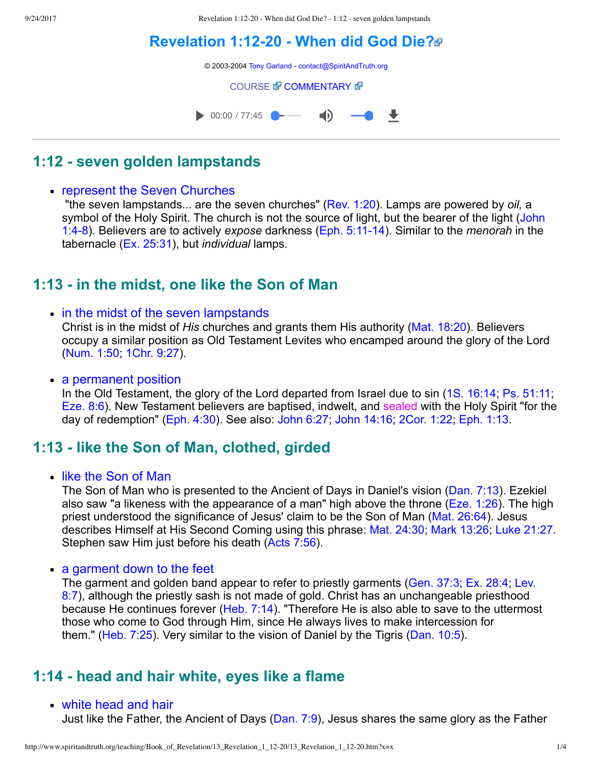9/24/2017 Revelation 1:12-20 - When did God Die? - 1:12 - seven golden lampstands

# **[Revelation 1:1220 When did God Die?](http://www.spiritandtruth.org/teaching/Book_of_Revelation/13_Revelation_1_12-20/index.htm)**

© 2003-2004 [Tony Garland](http://www.spiritandtruth.org/teaching/teachers/tony_garland/bio.htm) - [contact@SpiritAndTruth.org](mailto:contact@SpiritAndTruth.org?subject=ST-MAIL:%20Revelation%201:12-20%20-%20When%20did%20God%20Die?)

**[COURSE](http://www.spiritandtruth.org/teaching/Book_of_Revelation/13_Revelation_1_12-20/index.htm) & [COMMENTARY](http://www.spiritandtruth.org/teaching/Book_of_Revelation/commentary/htm/index.html?Revelation_1:12) &** 



## **1:12 seven golden lampstands**

#### • represent the Seven Churches

 "the seven lampstands... are the seven churches" [\(Rev. 1:20\)](http://www.spiritandtruth.org/bibles/nasb/b66c001.htm#Rev._C1V20). Lamps are powered by *oil,* a [symbol of the Holy Spirit. The church is not the source of light, but the bearer of the light \(John](http://www.spiritandtruth.org/bibles/nasb/b43c001.htm#John_C1V4) 1:48). Believers are to actively *expose* darkness ([Eph. 5:1114](http://www.spiritandtruth.org/bibles/nasb/b49c005.htm#Eph._C5V11)). Similar to the *menorah* in the tabernacle [\(Ex. 25:31](http://www.spiritandtruth.org/bibles/nasb/b02c025.htm#Ex._C25V31)), but *individual* lamps.

## **1:13 in the midst, one like the Son of Man**

• in the midst of the seven lampstands Christ is in the midst of *His* churches and grants them His authority ([Mat. 18:20\)](http://www.spiritandtruth.org/bibles/nasb/b40c018.htm#Mat._C18V20). Believers

occupy a similar position as Old Testament Levites who encamped around the glory of the Lord [\(Num. 1:50](http://www.spiritandtruth.org/bibles/nasb/b04c001.htm#Num._C1V50); [1Chr. 9:27\)](http://www.spiritandtruth.org/bibles/nasb/b13c009.htm#1Chr._C9V27).

• a permanent position

In the Old Testament, the glory of the Lord departed from Israel due to sin ([1S. 16:14;](http://www.spiritandtruth.org/bibles/nasb/b09c016.htm#1S._C16V14) [Ps. 51:11;](http://www.spiritandtruth.org/bibles/nasb/b19c051.htm#Ps._C51V11) [Eze. 8:6](http://www.spiritandtruth.org/bibles/nasb/b26c008.htm#Eze._C8V6)). New Testament believers are baptised, indwelt, and sealed with the Holy Spirit "for the day of redemption" ([Eph. 4:30](http://www.spiritandtruth.org/bibles/nasb/b49c004.htm#Eph._C4V30)). See also: [John 6:27](http://www.spiritandtruth.org/bibles/nasb/b43c006.htm#John_C6V27); [John 14:16](http://www.spiritandtruth.org/bibles/nasb/b43c014.htm#John_C14V16); [2Cor. 1:22](http://www.spiritandtruth.org/bibles/nasb/b47c001.htm#2Cor._C1V22); [Eph. 1:13](http://www.spiritandtruth.org/bibles/nasb/b49c001.htm#Eph._C1V13).

## **1:13 like the Son of Man, clothed, girded**

• like the Son of Man

The Son of Man who is presented to the Ancient of Days in Daniel's vision [\(Dan. 7:13](http://www.spiritandtruth.org/bibles/nasb/b27c007.htm#Dan._C7V13)). Ezekiel also saw "a likeness with the appearance of a man" high above the throne [\(Eze. 1:26](http://www.spiritandtruth.org/bibles/nasb/b26c001.htm#Eze._C1V26)). The high priest understood the significance of Jesus' claim to be the Son of Man ([Mat. 26:64\)](http://www.spiritandtruth.org/bibles/nasb/b40c026.htm#Mat._C26V64). Jesus describes Himself at His Second Coming using this phrase: [Mat. 24:30](http://www.spiritandtruth.org/bibles/nasb/b40c024.htm#Mat._C24V30); [Mark 13:26;](http://www.spiritandtruth.org/bibles/nasb/b41c013.htm#Mark_C13V26) [Luke 21:27](http://www.spiritandtruth.org/bibles/nasb/b42c021.htm#Luke_C21V27). Stephen saw Him just before his death ([Acts 7:56](http://www.spiritandtruth.org/bibles/nasb/b44c007.htm#Acts_C7V56)).

• a garment down to the feet

[The garment and golden band appear to refer to priestly garments \(Gen. 37:3; Ex. 28:4; Lev.](http://www.spiritandtruth.org/bibles/nasb/b03c008.htm#Lev._C8V7) 8:7), although the priestly sash is not made of gold. Christ has an unchangeable priesthood because He continues forever ([Heb. 7:14](http://www.spiritandtruth.org/bibles/nasb/b58c007.htm#Heb._C7V14)). "Therefore He is also able to save to the uttermost those who come to God through Him, since He always lives to make intercession for them." [\(Heb. 7:25\)](http://www.spiritandtruth.org/bibles/nasb/b58c007.htm#Heb._C7V25). Very similar to the vision of Daniel by the Tigris [\(Dan. 10:5](http://www.spiritandtruth.org/bibles/nasb/b27c010.htm#Dan._C10V5)).

## **1:14 head and hair white, eyes like a flame**

#### white head and hair

Just like the Father, the Ancient of Days ([Dan. 7:9](http://www.spiritandtruth.org/bibles/nasb/b27c007.htm#Dan._C7V9)), Jesus shares the same glory as the Father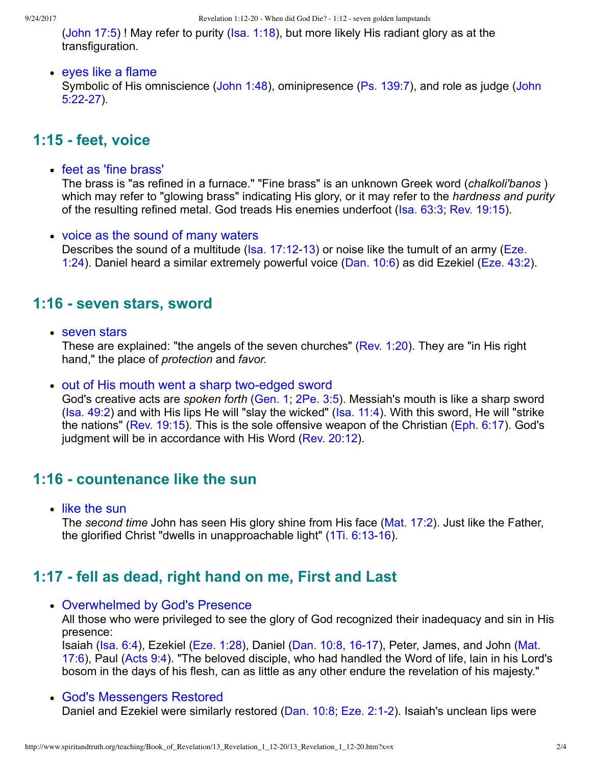[\(John 17:5\)](http://www.spiritandtruth.org/bibles/nasb/b43c017.htm#John_C17V5) ! May refer to purity ([Isa. 1:18\)](http://www.spiritandtruth.org/bibles/nasb/b23c001.htm#Isa._C1V18), but more likely His radiant glory as at the transfiguration.

#### • eyes like a flame

[Symbolic of His omniscience \(John 1:48\), ominipresence \(Ps. 139:7\), and role as judge \(John](http://www.spiritandtruth.org/bibles/nasb/b43c005.htm#John_C5V22)  $5:22-27$ ).

#### **1:15 feet, voice**

• feet as 'fine brass'

The brass is "as refined in a furnace." "Fine brass" is an unknown Greek word (*chalkoli'banos* ) which may refer to "glowing brass" indicating His glory, or it may refer to the *hardness and purity* of the resulting refined metal. God treads His enemies underfoot [\(Isa. 63:3;](http://www.spiritandtruth.org/bibles/nasb/b23c063.htm#Isa._C63V3) [Rev. 19:15\)](http://www.spiritandtruth.org/bibles/nasb/b66c019.htm#Rev._C19V15).

• voice as the sound of many waters Describes the sound of a multitude ( $Isa. 17:12-13$ ) or noise like the tumult of an army ( $Eze.$ 1:24). Daniel heard a similar extremely powerful voice [\(Dan. 10:6](http://www.spiritandtruth.org/bibles/nasb/b27c010.htm#Dan._C10V6)) as did Ezekiel ([Eze. 43:2\)](http://www.spiritandtruth.org/bibles/nasb/b26c043.htm#Eze._C43V2).

### **1:16 - seven stars, sword**

• seven stars

These are explained: "the angels of the seven churches" ([Rev. 1:20](http://www.spiritandtruth.org/bibles/nasb/b66c001.htm#Rev._C1V20)). They are "in His right hand," the place of *protection* and *favor.*

• out of His mouth went a sharp two-edged sword

God's creative acts are *spoken forth* [\(Gen. 1](http://www.spiritandtruth.org/bibles/nasb/b01c001.htm#Gen._C1V1); [2Pe. 3:5\)](http://www.spiritandtruth.org/bibles/nasb/b61c003.htm#2Pe._C3V5). Messiah's mouth is like a sharp sword [\(Isa. 49:2](http://www.spiritandtruth.org/bibles/nasb/b23c049.htm#Isa._C49V2)) and with His lips He will "slay the wicked" ([Isa. 11:4\)](http://www.spiritandtruth.org/bibles/nasb/b23c011.htm#Isa._C11V4). With this sword, He will "strike the nations" ([Rev. 19:15\)](http://www.spiritandtruth.org/bibles/nasb/b66c019.htm#Rev._C19V15). This is the sole offensive weapon of the Christian [\(Eph. 6:17\)](http://www.spiritandtruth.org/bibles/nasb/b49c006.htm#Eph._C6V17). God's judgment will be in accordance with His Word ([Rev. 20:12\)](http://www.spiritandtruth.org/bibles/nasb/b66c020.htm#Rev._C20V12).

#### **1:16 countenance like the sun**

• like the sun

The *second time* John has seen His glory shine from His face ([Mat. 17:2\)](http://www.spiritandtruth.org/bibles/nasb/b40c017.htm#Mat._C17V2). Just like the Father, the glorified Christ "dwells in unapproachable light" (1Ti. 6:13-16).

### **1:17 fell as dead, right hand on me, First and Last**

Overwhelmed by God's Presence

All those who were privileged to see the glory of God recognized their inadequacy and sin in His presence:

Isaiah (Isa. 6:4), Ezekiel (Eze. 1:28), Daniel (Dan. 10:8, 16-17), Peter, James, and John (Mat. 17:6), Paul [\(Acts 9:4\)](http://www.spiritandtruth.org/bibles/nasb/b44c009.htm#Acts_C9V4). "The beloved disciple, who had handled the Word of life, lain in his Lord's bosom in the days of his flesh, can as little as any other endure the revelation of his majesty."

God's Messengers Restored Daniel and Ezekiel were similarly restored [\(Dan. 10:8](http://www.spiritandtruth.org/bibles/nasb/b27c010.htm#Dan._C10V8); Eze. 2:1-2). Isaiah's unclean lips were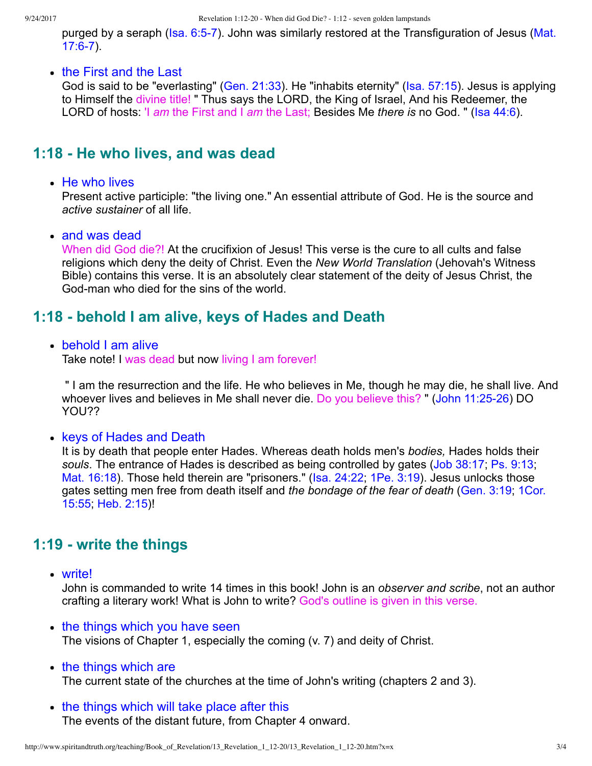purged by a seraph (Isa. 6:5-7). John was similarly restored at the Transfiguration of Jesus (Mat.  $17:6-7$ ).

• the First and the Last

God is said to be "everlasting" [\(Gen. 21:33\)](http://www.spiritandtruth.org/bibles/nasb/b01c021.htm#Gen._C21V33). He "inhabits eternity" ([Isa. 57:15\)](http://www.spiritandtruth.org/bibles/nasb/b23c057.htm#Isa._C57V15). Jesus is applying to Himself the divine title! " Thus says the LORD, the King of Israel, And his Redeemer, the LORD of hosts: 'I *am* the First and I *am* the Last; Besides Me *there is* no God. " [\(Isa 44:6\)](http://www.spiritandtruth.org/bibles/nasb/b23c044.htm#Isa._C44V6).

### **1:18 He who lives, and was dead**

#### • He who lives

Present active participle: "the living one." An essential attribute of God. He is the source and *active sustainer* of all life.

• and was dead

When did God die?! At the crucifixion of Jesus! This verse is the cure to all cults and false religions which deny the deity of Christ. Even the *New World Translation* (Jehovah's Witness Bible) contains this verse. It is an absolutely clear statement of the deity of Jesus Christ, the God-man who died for the sins of the world.

### **1:18 behold I am alive, keys of Hades and Death**

#### • behold I am alive

Take note! I was dead but now living I am forever!

 " I am the resurrection and the life. He who believes in Me, though he may die, he shall live. And whoever lives and believes in Me shall never die. Do you believe this? " (John 11:25-26) DO YOU??

• keys of Hades and Death

It is by death that people enter Hades. Whereas death holds men's *bodies,* Hades holds their *souls*. The entrance of Hades is described as being controlled by gates [\(Job 38:17;](http://www.spiritandtruth.org/bibles/nasb/b18c038.htm#Job_C38V17) [Ps. 9:13](http://www.spiritandtruth.org/bibles/nasb/b19c009.htm#Ps._C9V13); [Mat. 16:18\)](http://www.spiritandtruth.org/bibles/nasb/b40c016.htm#Mat._C16V18). Those held therein are "prisoners." ([Isa. 24:22](http://www.spiritandtruth.org/bibles/nasb/b23c024.htm#Isa._C24V22); [1Pe. 3:19](http://www.spiritandtruth.org/bibles/nasb/b60c003.htm#1Pe._C3V19)). Jesus unlocks those [gates setting men free from death itself and](http://www.spiritandtruth.org/bibles/nasb/b46c015.htm#1Cor._C15V55) *the bondage of the fear of death* ([Gen. 3:19](http://www.spiritandtruth.org/bibles/nasb/b01c003.htm#Gen._C3V19); 1Cor. 15:55; [Heb. 2:15\)](http://www.spiritandtruth.org/bibles/nasb/b58c002.htm#Heb._C2V15)!

### **1:19 write the things**

write!

John is commanded to write 14 times in this book! John is an *observer and scribe*, not an author crafting a literary work! What is John to write? God's outline is given in this verse.

- the things which you have seen The visions of Chapter 1, especially the coming (v. 7) and deity of Christ.
- the things which are The current state of the churches at the time of John's writing (chapters 2 and 3).
- the things which will take place after this The events of the distant future, from Chapter 4 onward.